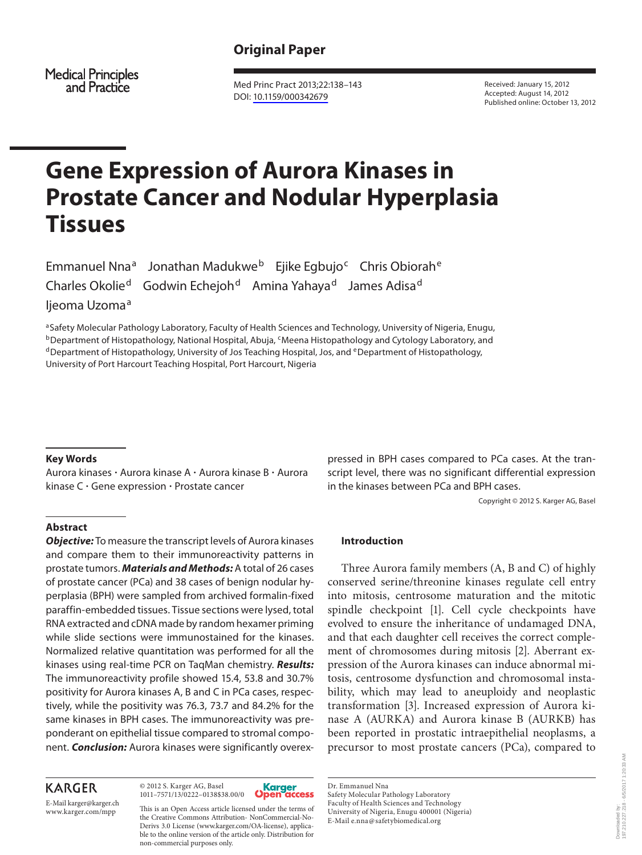# **Original Paper**

Medical Principles<br>and Practice

 Med Princ Pract 2013;22:138–143 DOI: [10.1159/000342679](http://dx.doi.org/10.1159%2F000342679)

 Received: January 15, 2012 Accepted: August 14, 2012 Published online: October 13, 2012

# **Gene Expression of Aurora Kinases in Prostate Cancer and Nodular Hyperplasia Tissues**

Emmanuel Nna<sup>a</sup> Jonathan Madukwe<sup>b</sup> Ejike Egbujo<sup>c</sup> Chris Obiorah<sup>e</sup> Charles Okolie<sup>d</sup> Godwin Echejoh<sup>d</sup> Amina Yahaya<sup>d</sup> James Adisa<sup>d</sup>

ljeoma Uzoma<sup>a</sup>

a Safety Molecular Pathology Laboratory, Faculty of Health Sciences and Technology, University of Nigeria, Enugu, <sup>b</sup> Department of Histopathology, National Hospital, Abuja, <sup>c</sup> Meena Histopathology and Cytology Laboratory, and d<br><sup>d</sup> Department of Histopathology, University of Jos Teaching Hospital, Jos, and <sup>e</sup> Department of Histopat University of Port Harcourt Teaching Hospital, Port Harcourt, Nigeria

#### **Key Words**

 Aurora kinases - Aurora kinase A - Aurora kinase B - Aurora kinase C - Gene expression - Prostate cancer

# **Abstract**

*Objective:* To measure the transcript levels of Aurora kinases and compare them to their immunoreactivity patterns in prostate tumors. *Materials and Methods:* A total of 26 cases of prostate cancer (PCa) and 38 cases of benign nodular hyperplasia (BPH) were sampled from archived formalin-fixed paraffin-embedded tissues. Tissue sections were lysed, total RNA extracted and cDNA made by random hexamer priming while slide sections were immunostained for the kinases. Normalized relative quantitation was performed for all the kinases using real-time PCR on TaqMan chemistry. *Results:* The immunoreactivity profile showed 15.4, 53.8 and 30.7% positivity for Aurora kinases A, B and C in PCa cases, respectively, while the positivity was 76.3, 73.7 and 84.2% for the same kinases in BPH cases. The immunoreactivity was preponderant on epithelial tissue compared to stromal component. *Conclusion:* Aurora kinases were significantly overex-

# **KARGER**

E-Mail karger@karger.ch

 © 2012 S. Karger AG, Basel 1011–7571/13/0222–0138\$38.00/0



This is an Open Access article licensed under the terms of the Creative Commons Attribution- NonCommercial-No-Derivs 3.0 License (www.karger.com/OA-license), applicable to the online version of the article only. Distribution for non-commercial purposes only.

pressed in BPH cases compared to PCa cases. At the transcript level, there was no significant differential expression in the kinases between PCa and BPH cases.

Copyright © 2012 S. Karger AG, Basel

# **Introduction**

 Three Aurora family members (A, B and C) of highly conserved serine/threonine kinases regulate cell entry into mitosis, centrosome maturation and the mitotic spindle checkpoint [1]. Cell cycle checkpoints have evolved to ensure the inheritance of undamaged DNA, and that each daughter cell receives the correct complement of chromosomes during mitosis [2]. Aberrant expression of the Aurora kinases can induce abnormal mitosis, centrosome dysfunction and chromosomal instability, which may lead to aneuploidy and neoplastic transformation [3]. Increased expression of Aurora kinase A (AURKA) and Aurora kinase B (AURKB) has been reported in prostatic intraepithelial neoplasms, a precursor to most prostate cancers (PCa), compared to

 Dr. Emmanuel Nna Safety Molecular Pathology Laboratory Faculty of Health Sciences and Technology University of Nigeria, Enugu 400001 (Nigeria) E-Mail e.nna @ safetybiomedical.org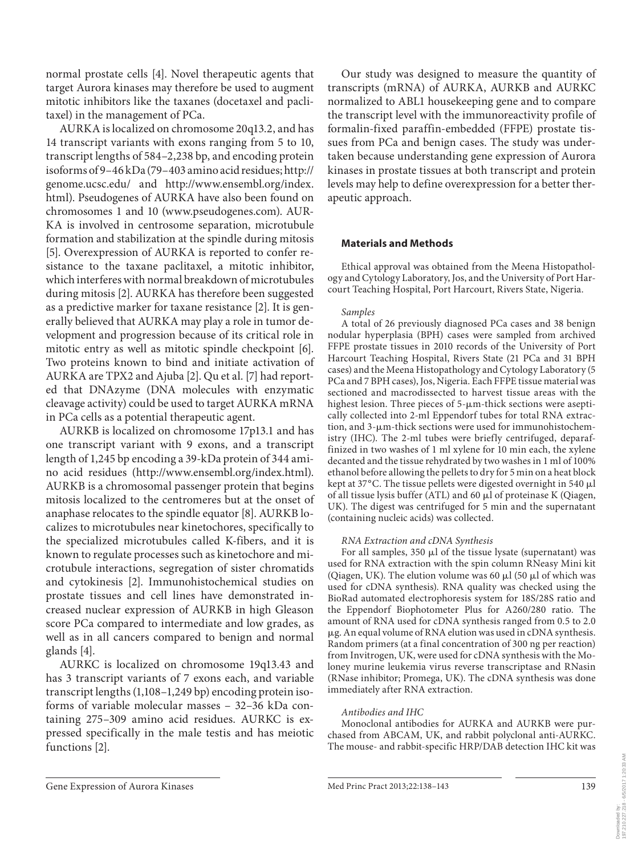normal prostate cells [4]. Novel therapeutic agents that target Aurora kinases may therefore be used to augment mitotic inhibitors like the taxanes (docetaxel and paclitaxel) in the management of PCa.

 AURKA is localized on chromosome 20q13.2, and has 14 transcript variants with exons ranging from 5 to 10, transcript lengths of 584–2,238 bp, and encoding protein isoforms of 9–46 kDa (79–403 amino acid residues; http:// genome.ucsc.edu/ and http://www.ensembl.org/index. html). Pseudogenes of AURKA have also been found on chromosomes 1 and 10 (www.pseudogenes.com). AUR-KA is involved in centrosome separation, microtubule formation and stabilization at the spindle during mitosis [5]. Overexpression of AURKA is reported to confer resistance to the taxane paclitaxel, a mitotic inhibitor, which interferes with normal breakdown of microtubules during mitosis [2]. AURKA has therefore been suggested as a predictive marker for taxane resistance [2]. It is generally believed that AURKA may play a role in tumor development and progression because of its critical role in mitotic entry as well as mitotic spindle checkpoint [6]. Two proteins known to bind and initiate activation of AURKA are TPX2 and Ajuba [2]. Qu et al. [7] had reported that DNAzyme (DNA molecules with enzymatic cleavage activity) could be used to target AURKA mRNA in PCa cells as a potential therapeutic agent.

 AURKB is localized on chromosome 17p13.1 and has one transcript variant with 9 exons, and a transcript length of 1,245 bp encoding a 39-kDa protein of 344 amino acid residues (http://www.ensembl.org/index.html). AURKB is a chromosomal passenger protein that begins mitosis localized to the centromeres but at the onset of anaphase relocates to the spindle equator [8]. AURKB localizes to microtubules near kinetochores, specifically to the specialized microtubules called K-fibers, and it is known to regulate processes such as kinetochore and microtubule interactions, segregation of sister chromatids and cytokinesis [2]. Immunohistochemical studies on prostate tissues and cell lines have demonstrated increased nuclear expression of AURKB in high Gleason score PCa compared to intermediate and low grades, as well as in all cancers compared to benign and normal glands  $[4]$ .

 AURKC is localized on chromosome 19q13.43 and has 3 transcript variants of 7 exons each, and variable transcript lengths (1,108–1,249 bp) encoding protein isoforms of variable molecular masses – 32–36 kDa containing 275–309 amino acid residues. AURKC is expressed specifically in the male testis and has meiotic functions [2].

 Our study was designed to measure the quantity of transcripts (mRNA) of AURKA, AURKB and AURKC normalized to ABL1 housekeeping gene and to compare the transcript level with the immunoreactivity profile of formalin-fixed paraffin-embedded (FFPE) prostate tissues from PCa and benign cases. The study was undertaken because understanding gene expression of Aurora kinases in prostate tissues at both transcript and protein levels may help to define overexpression for a better therapeutic approach.

# **Materials and Methods**

 Ethical approval was obtained from the Meena Histopathology and Cytology Laboratory, Jos, and the University of Port Harcourt Teaching Hospital, Port Harcourt, Rivers State, Nigeria.

#### *Samples*

 A total of 26 previously diagnosed PCa cases and 38 benign nodular hyperplasia (BPH) cases were sampled from archived FFPE prostate tissues in 2010 records of the University of Port Harcourt Teaching Hospital, Rivers State (21 PCa and 31 BPH cases) and the Meena Histopathology and Cytology Laboratory (5 PCa and 7 BPH cases), Jos, Nigeria. Each FFPE tissue material was sectioned and macrodissected to harvest tissue areas with the highest lesion. Three pieces of 5-µm-thick sections were aseptically collected into 2-ml Eppendorf tubes for total RNA extraction, and 3-µm-thick sections were used for immunohistochemistry (IHC). The 2-ml tubes were briefly centrifuged, deparaffinized in two washes of 1 ml xylene for 10 min each, the xylene decanted and the tissue rehydrated by two washes in 1 ml of 100% ethanol before allowing the pellets to dry for 5 min on a heat block kept at 37°C. The tissue pellets were digested overnight in 540  $\mu$ l of all tissue lysis buffer (ATL) and 60  $\mu$ l of proteinase K (Qiagen, UK). The digest was centrifuged for 5 min and the supernatant (containing nucleic acids) was collected.

#### *RNA Extraction and cDNA Synthesis*

For all samples,  $350 \mu l$  of the tissue lysate (supernatant) was used for RNA extraction with the spin column RNeasy Mini kit (Qiagen, UK). The elution volume was 60  $\mu$ l (50  $\mu$ l of which was used for cDNA synthesis). RNA quality was checked using the BioRad automated electrophoresis system for 18S/28S ratio and the Eppendorf Biophotometer Plus for A260/280 ratio. The amount of RNA used for cDNA synthesis ranged from 0.5 to 2.0 - g. An equal volume of RNA elution was used in cDNA synthesis. Random primers (at a final concentration of 300 ng per reaction) from Invitrogen, UK, were used for cDNA synthesis with the Moloney murine leukemia virus reverse transcriptase and RNasin (RNase inhibitor; Promega, UK). The cDNA synthesis was done immediately after RNA extraction.

#### *Antibodies and IHC*

 Monoclonal antibodies for AURKA and AURKB were purchased from ABCAM, UK, and rabbit polyclonal anti-AURKC. The mouse- and rabbit-specific HRP/DAB detection IHC kit was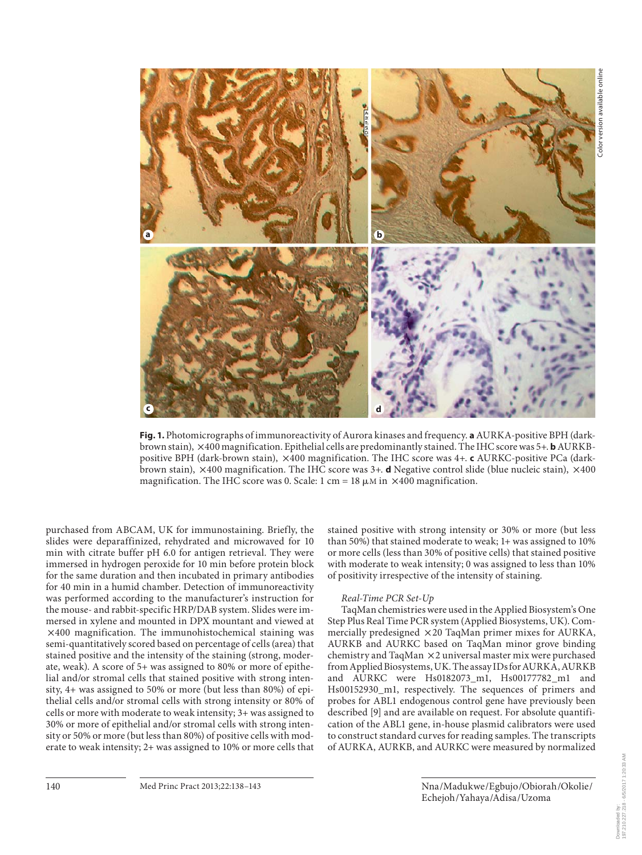

**Fig. 1.** Photomicrographs of immunoreactivity of Aurora kinases and frequency. **a** AURKA-positive BPH (darkbrown stain), ! 400 magnification. Epithelial cells are predominantly stained. The IHC score was 5+. **b** AURKBpositive BPH (dark-brown stain), ! 400 magnification. The IHC score was 4+. **c** AURKC-positive PCa (darkbrown stain),  $\times$ 400 magnification. The IHC score was 3+. **d** Negative control slide (blue nucleic stain),  $\times$ 400 magnification. The IHC score was 0. Scale: 1 cm = 18  $\mu$ M in  $\times$ 400 magnification.

purchased from ABCAM, UK for immunostaining. Briefly, the slides were deparaffinized, rehydrated and microwaved for 10 min with citrate buffer pH 6.0 for antigen retrieval. They were immersed in hydrogen peroxide for 10 min before protein block for the same duration and then incubated in primary antibodies for 40 min in a humid chamber. Detection of immunoreactivity was performed according to the manufacturer's instruction for the mouse- and rabbit-specific HRP/DAB system. Slides were immersed in xylene and mounted in DPX mountant and viewed at ! 400 magnification. The immunohistochemical staining was semi-quantitatively scored based on percentage of cells (area) that stained positive and the intensity of the staining (strong, moderate, weak). A score of 5+ was assigned to 80% or more of epithelial and/or stromal cells that stained positive with strong intensity, 4+ was assigned to 50% or more (but less than 80%) of epithelial cells and/or stromal cells with strong intensity or 80% of cells or more with moderate to weak intensity; 3+ was assigned to 30% or more of epithelial and/or stromal cells with strong intensity or 50% or more (but less than 80%) of positive cells with moderate to weak intensity; 2+ was assigned to 10% or more cells that

stained positive with strong intensity or 30% or more (but less than 50%) that stained moderate to weak; 1+ was assigned to 10% or more cells (less than 30% of positive cells) that stained positive with moderate to weak intensity; 0 was assigned to less than 10% of positivity irrespective of the intensity of staining.

#### *Real-Time PCR Set-Up*

 TaqMan chemistries were used in the Applied Biosystem's One Step Plus Real Time PCR system (Applied Biosystems, UK). Commercially predesigned  $\times$  20 TaqMan primer mixes for AURKA, AURKB and AURKC based on TaqMan minor grove binding chemistry and TaqMan  $\times$ 2 universal master mix were purchased from Applied Biosystems, UK. The assay IDs for AURKA, AURKB and AURKC were Hs0182073\_m1, Hs00177782\_m1 and Hs00152930\_m1, respectively. The sequences of primers and probes for ABL1 endogenous control gene have previously been described [9] and are available on request. For absolute quantification of the ABL1 gene, in-house plasmid calibrators were used to construct standard curves for reading samples. The transcripts of AURKA, AURKB, and AURKC were measured by normalized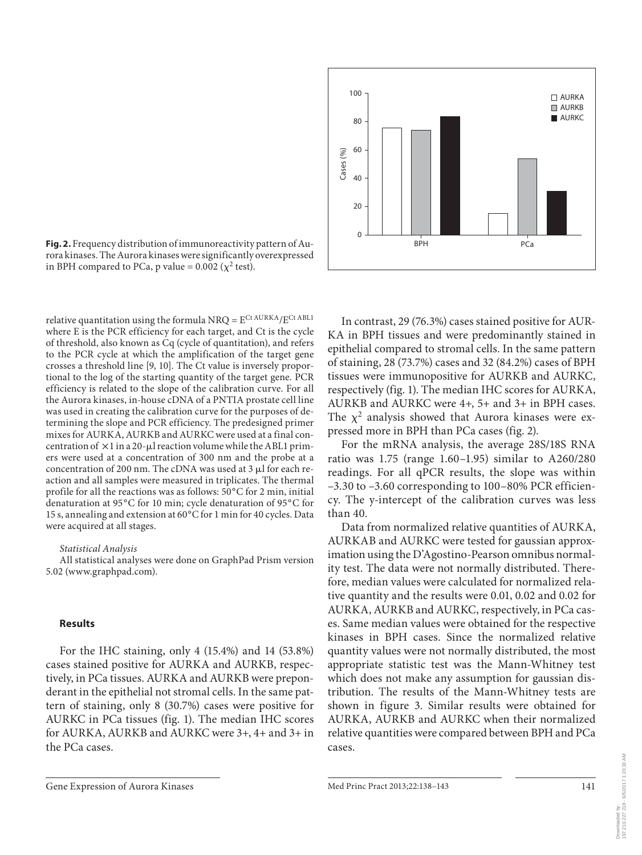

**Fig. 2.** Frequency distribution of immunoreactivity pattern of Aurora kinases. The Aurora kinases were significantly overexpressed in BPH compared to PCa, p value =  $0.002$  ( $\chi^2$  test).

relative quantitation using the formula  ${\rm NRO} = {\rm E^{C t \, A U R K A}}/{\rm E^{C t \, A B L1}}$ where E is the PCR efficiency for each target, and Ct is the cycle of threshold, also known as Cq (cycle of quantitation), and refers to the PCR cycle at which the amplification of the target gene crosses a threshold line [9, 10]. The Ct value is inversely proportional to the log of the starting quantity of the target gene. PCR efficiency is related to the slope of the calibration curve. For all the Aurora kinases, in-house cDNA of a PNTIA prostate cell line was used in creating the calibration curve for the purposes of determining the slope and PCR efficiency. The predesigned primer mixes for AURKA, AURKB and AURKC were used at a final concentration of  $\times$ 1 in a 20- $\mu$ l reaction volume while the ABL1 primers were used at a concentration of 300 nm and the probe at a concentration of 200 nm. The cDNA was used at 3  $\mu$ l for each reaction and all samples were measured in triplicates. The thermal profile for all the reactions was as follows:  $50^{\circ}$ C for 2 min, initial denaturation at 95°C for 10 min; cycle denaturation of 95°C for 15 s, annealing and extension at 60°C for 1 min for 40 cycles. Data were acquired at all stages.

#### *Statistical Analysis*

 All statistical analyses were done on GraphPad Prism version 5.02 (www.graphpad.com).

#### **Results**

 For the IHC staining, only 4 (15.4%) and 14 (53.8%) cases stained positive for AURKA and AURKB, respectively, in PCa tissues. AURKA and AURKB were preponderant in the epithelial not stromal cells. In the same pattern of staining, only 8 (30.7%) cases were positive for AURKC in PCa tissues (fig. 1). The median IHC scores for AURKA, AURKB and AURKC were 3+, 4+ and 3+ in the PCa cases.

 In contrast, 29 (76.3%) cases stained positive for AUR-KA in BPH tissues and were predominantly stained in epithelial compared to stromal cells. In the same pattern of staining, 28 (73.7%) cases and 32 (84.2%) cases of BPH tissues were immunopositive for AURKB and AURKC, respectively (fig. 1). The median IHC scores for AURKA, AURKB and AURKC were 4+, 5+ and 3+ in BPH cases. The  $\chi^2$  analysis showed that Aurora kinases were expressed more in BPH than PCa cases (fig. 2).

 For the mRNA analysis, the average 28S/18S RNA ratio was 1.75 (range 1.60–1.95) similar to A260/280 readings. For all qPCR results, the slope was within –3.30 to –3.60 corresponding to 100–80% PCR efficiency. The y-intercept of the calibration curves was less than 40.

 Data from normalized relative quantities of AURKA, AURKAB and AURKC were tested for gaussian approximation using the D'Agostino-Pearson omnibus normality test. The data were not normally distributed. Therefore, median values were calculated for normalized relative quantity and the results were 0.01, 0.02 and 0.02 for AURKA, AURKB and AURKC, respectively, in PCa cases. Same median values were obtained for the respective kinases in BPH cases. Since the normalized relative quantity values were not normally distributed, the most appropriate statistic test was the Mann-Whitney test which does not make any assumption for gaussian distribution. The results of the Mann-Whitney tests are shown in figure 3. Similar results were obtained for AURKA, AURKB and AURKC when their normalized relative quantities were compared between BPH and PCa cases.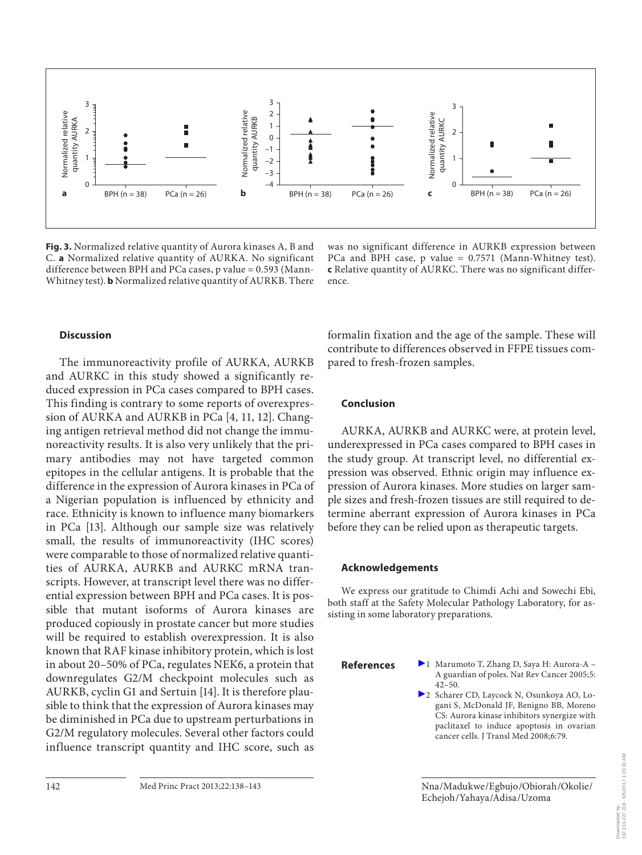

**Fig. 3.** Normalized relative quantity of Aurora kinases A, B and C. **a** Normalized relative quantity of AURKA. No significant difference between BPH and PCa cases, p value = 0.593 (Mann-Whitney test). **b** Normalized relative quantity of AURKB. There

was no significant difference in AURKB expression between PCa and BPH case, p value = 0.7571 (Mann-Whitney test). **c** Relative quantity of AURKC. There was no significant difference.

# **Discussion**

 The immunoreactivity profile of AURKA, AURKB and AURKC in this study showed a significantly reduced expression in PCa cases compared to BPH cases. This finding is contrary to some reports of overexpression of AURKA and AURKB in PCa [4, 11, 12]. Changing antigen retrieval method did not change the immunoreactivity results. It is also very unlikely that the primary antibodies may not have targeted common epitopes in the cellular antigens. It is probable that the difference in the expression of Aurora kinases in PCa of a Nigerian population is influenced by ethnicity and race. Ethnicity is known to influence many biomarkers in PCa [13]. Although our sample size was relatively small, the results of immunoreactivity (IHC scores) were comparable to those of normalized relative quantities of AURKA, AURKB and AURKC mRNA transcripts. However, at transcript level there was no differential expression between BPH and PCa cases. It is possible that mutant isoforms of Aurora kinases are produced copiously in prostate cancer but more studies will be required to establish overexpression. It is also known that RAF kinase inhibitory protein, which is lost in about 20–50% of PCa, regulates NEK6, a protein that downregulates G2/M checkpoint molecules such as AURKB, cyclin G1 and Sertuin [14]. It is therefore plausible to think that the expression of Aurora kinases may be diminished in PCa due to upstream perturbations in G2/M regulatory molecules. Several other factors could influence transcript quantity and IHC score, such as

formalin fixation and the age of the sample. These will contribute to differences observed in FFPE tissues compared to fresh-frozen samples.

#### **Conclusion**

 AURKA, AURKB and AURKC were, at protein level, underexpressed in PCa cases compared to BPH cases in the study group. At transcript level, no differential expression was observed. Ethnic origin may influence expression of Aurora kinases. More studies on larger sample sizes and fresh-frozen tissues are still required to determine aberrant expression of Aurora kinases in PCa before they can be relied upon as therapeutic targets.

#### **Acknowledgements**

 We express our gratitude to Chimdi Achi and Sowechi Ebi, both staff at the Safety Molecular Pathology Laboratory, for assisting in some laboratory preparations.

- **References**  $\blacktriangleright$ 1 Marumoto T, Zhang D, Saya H: Aurora-A A guardian of poles. Nat Rev Cancer 2005;5:  $42 - 50$ .
	- 2 Scharer CD, Laycock N, Osunkoya AO, Logani S, McDonald JF, Benigno BB, Moreno CS: Aurora kinase inhibitors synergize with paclitaxel to induce apoptosis in ovarian cancer cells. J Transl Med 2008;6:79.